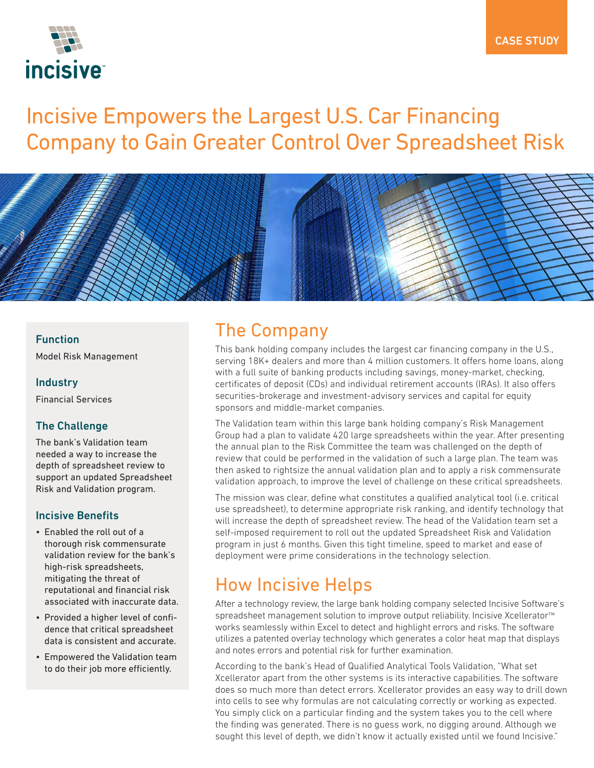

# Incisive Empowers the Largest U.S. Car Financing Company to Gain Greater Control Over Spreadsheet Risk



#### Function

Model Risk Management

#### **Industry**

Financial Services

### The Challenge

The bank's Validation team needed a way to increase the depth of spreadsheet review to support an updated Spreadsheet Risk and Validation program.

#### Incisive Benefits

- Enabled the roll out of a thorough risk commensurate validation review for the bank's high-risk spreadsheets, mitigating the threat of reputational and financial risk associated with inaccurate data.
- Provided a higher level of confidence that critical spreadsheet data is consistent and accurate.
- Empowered the Validation team to do their job more efficiently.

### The Company

This bank holding company includes the largest car financing company in the U.S., serving 18K+ dealers and more than 4 million customers. It offers home loans, along with a full suite of banking products including savings, money-market, checking, certificates of deposit (CDs) and individual retirement accounts (IRAs). It also offers securities-brokerage and investment-advisory services and capital for equity sponsors and middle-market companies.

The Validation team within this large bank holding company's Risk Management Group had a plan to validate 420 large spreadsheets within the year. After presenting the annual plan to the Risk Committee the team was challenged on the depth of review that could be performed in the validation of such a large plan. The team was then asked to rightsize the annual validation plan and to apply a risk commensurate validation approach, to improve the level of challenge on these critical spreadsheets.

The mission was clear, define what constitutes a qualified analytical tool (i.e. critical use spreadsheet), to determine appropriate risk ranking, and identify technology that will increase the depth of spreadsheet review. The head of the Validation team set a self-imposed requirement to roll out the updated Spreadsheet Risk and Validation program in just 6 months. Given this tight timeline, speed to market and ease of deployment were prime considerations in the technology selection.

### How Incisive Helps

After a technology review, the large bank holding company selected Incisive Software's spreadsheet management solution to improve output reliability. Incisive Xcellerator<sup>™</sup> works seamlessly within Excel to detect and highlight errors and risks. The software utilizes a patented overlay technology which generates a color heat map that displays and notes errors and potential risk for further examination.

According to the bank's Head of Qualified Analytical Tools Validation, "What set Xcellerator apart from the other systems is its interactive capabilities. The software does so much more than detect errors. Xcellerator provides an easy way to drill down into cells to see why formulas are not calculating correctly or working as expected. You simply click on a particular finding and the system takes you to the cell where the finding was generated. There is no guess work, no digging around. Although we sought this level of depth, we didn't know it actually existed until we found Incisive."